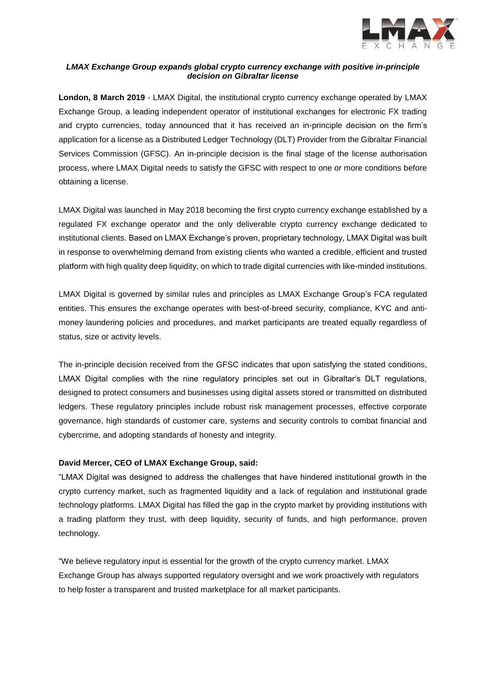

# *LMAX Exchange Group expands global crypto currency exchange with positive in-principle decision on Gibraltar license*

**London, 8 March 2019** - [LMAX Digital,](http://www.lmaxdigital.com/) the institutional crypto currency exchange operated by [LMAX](http://www.lmax.com/)  [Exchange Group,](http://www.lmax.com/) a leading independent operator of institutional exchanges for electronic FX trading and crypto currencies, today announced that it has received an in-principle decision on the firm's application for a license as a Distributed Ledger Technology (DLT) Provider from the Gibraltar Financial Services Commission (GFSC). An in-principle decision is the final stage of the license authorisation process, where LMAX Digital needs to satisfy the GFSC with respect to one or more conditions before obtaining a license.

LMAX Digital was launched in May 2018 becoming the first crypto currency exchange established by a regulated FX exchange operator and the only deliverable crypto currency exchange dedicated to institutional clients. Based on LMAX Exchange's proven, proprietary technology, LMAX Digital was built in response to overwhelming demand from existing clients who wanted a credible, efficient and trusted platform with high quality deep liquidity, on which to trade digital currencies with like-minded institutions.

LMAX Digital is governed by similar rules and principles as LMAX Exchange Group's FCA regulated entities. This ensures the exchange operates with best-of-breed security, compliance, KYC and antimoney laundering policies and procedures, and market participants are treated equally regardless of status, size or activity levels.

The in-principle decision received from the GFSC indicates that upon satisfying the stated conditions, LMAX Digital complies with the nine regulatory principles set out in Gibraltar's DLT regulations, designed to protect consumers and businesses using digital assets stored or transmitted on distributed ledgers. These regulatory principles include robust risk management processes, effective corporate governance, high standards of customer care, systems and security controls to combat financial and cybercrime, and adopting standards of honesty and integrity.

## **David Mercer, CEO of LMAX Exchange Group, said:**

"LMAX Digital was designed to address the challenges that have hindered institutional growth in the crypto currency market, such as fragmented liquidity and a lack of regulation and institutional grade technology platforms. LMAX Digital has filled the gap in the crypto market by providing institutions with a trading platform they trust, with deep liquidity, security of funds, and high performance, proven technology.

"We believe regulatory input is essential for the growth of the crypto currency market. LMAX Exchange Group has always supported regulatory oversight and we work proactively with regulators to help foster a transparent and trusted marketplace for all market participants.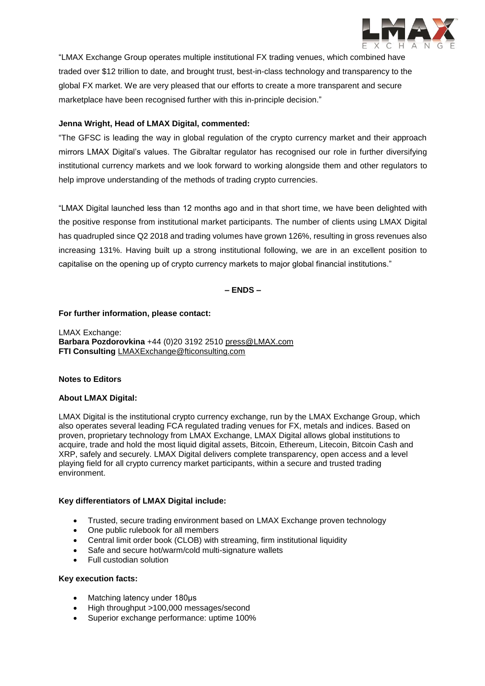

"LMAX Exchange Group operates multiple institutional FX trading venues, which combined have traded over \$12 trillion to date, and brought trust, best-in-class technology and transparency to the global FX market. We are very pleased that our efforts to create a more transparent and secure marketplace have been recognised further with this in-principle decision."

## **Jenna Wright, Head of LMAX Digital, commented:**

"The GFSC is leading the way in global regulation of the crypto currency market and their approach mirrors LMAX Digital's values. The Gibraltar regulator has recognised our role in further diversifying institutional currency markets and we look forward to working alongside them and other regulators to help improve understanding of the methods of trading crypto currencies.

"LMAX Digital launched less than 12 months ago and in that short time, we have been delighted with the positive response from institutional market participants. The number of clients using LMAX Digital has quadrupled since Q2 2018 and trading volumes have grown 126%, resulting in gross revenues also increasing 131%. Having built up a strong institutional following, we are in an excellent position to capitalise on the opening up of crypto currency markets to major global financial institutions."

# **– ENDS –**

#### **For further information, please contact:**

LMAX Exchange: **Barbara Pozdorovkina** +44 (0)20 3192 2510 [press@LMAX.com](mailto:press@LMAX.com) **FTI Consulting** [LMAXExchange@fticonsulting.com](mailto:LMAXExchange@fticonsulting.com)

## **Notes to Editors**

#### **About LMAX Digital:**

[LMAX Digital](http://www.lmaxdigital.com/) is the institutional crypto currency exchange, run by the [LMAX Exchange Group,](http://www.lmax.com/) which also operates several leading FCA regulated trading venues for FX, metals and indices. Based on proven, proprietary technology from LMAX Exchange, LMAX Digital allows global institutions to acquire, trade and hold the most liquid digital assets, Bitcoin, Ethereum, Litecoin, Bitcoin Cash and XRP, safely and securely. LMAX Digital delivers complete transparency, open access and a level playing field for all crypto currency market participants, within a secure and trusted trading environment.

## **Key differentiators of LMAX Digital include:**

- Trusted, secure trading environment based on LMAX Exchange proven technology
- One public rulebook for all members
- Central limit order book (CLOB) with streaming, firm institutional liquidity
- Safe and secure hot/warm/cold multi-signature wallets
- Full custodian solution

## **Key execution facts:**

- Matching latency under 180μs
- High throughput >100,000 messages/second
- Superior exchange performance: uptime 100%